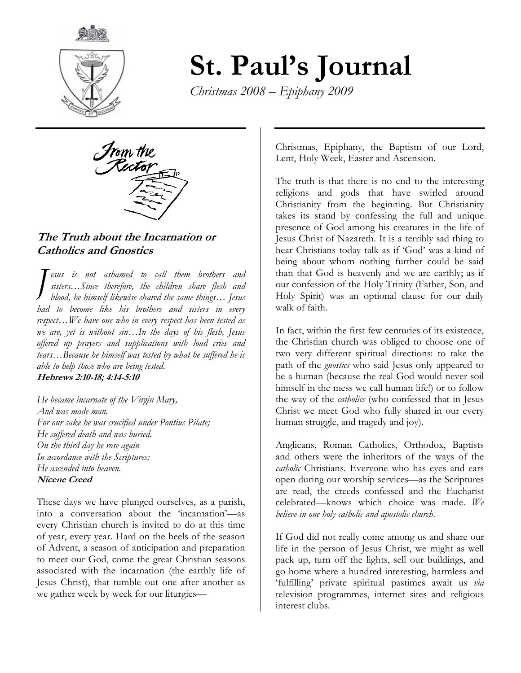

# St. Paul's Journal

Christmas 2008 – Epiphany 2009



## The Truth about the Incarnation or Catholics and Gnostics

esus is not ashamed to call them brothers and sisters...Since therefore, the children share flesh and blood, he himself likewise shared the same things… Jesus had to become like his brothers and sisters in every respect...We have one who in every respect has been tested as we are, yet is without sin…In the days of his flesh, Jesus offered up prayers and supplications with loud cries and tears…Because he himself was tested by what he suffered he is able to help those who are being tested. Hebrews 2:10-18; 4:14-5:10 J

He became incarnate of the  $V$ irgin Mary, And was made man. For our sake he was crucified under Pontius Pilate; He suffered death and was buried. On the third day he rose again In accordance with the Scriptures; He ascended into heaven. Nicene Creed

These days we have plunged ourselves, as a parish, into a conversation about the 'incarnation'—as every Christian church is invited to do at this time of year, every year. Hard on the heels of the season of Advent, a season of anticipation and preparation to meet our God, come the great Christian seasons associated with the incarnation (the earthly life of Jesus Christ), that tumble out one after another as we gather week by week for our liturgies—

Christmas, Epiphany, the Baptism of our Lord, Lent, Holy Week, Easter and Ascension.

The truth is that there is no end to the interesting religions and gods that have swirled around Christianity from the beginning. But Christianity takes its stand by confessing the full and unique presence of God among his creatures in the life of Jesus Christ of Nazareth. It is a terribly sad thing to hear Christians today talk as if 'God' was a kind of being about whom nothing further could be said than that God is heavenly and we are earthly; as if our confession of the Holy Trinity (Father, Son, and Holy Spirit) was an optional clause for our daily walk of faith.

In fact, within the first few centuries of its existence, the Christian church was obliged to choose one of two very different spiritual directions: to take the path of the *gnostics* who said Jesus only appeared to be a human (because the real God would never soil himself in the mess we call human life!) or to follow the way of the *catholics* (who confessed that in Jesus Christ we meet God who fully shared in our every human struggle, and tragedy and joy).

Anglicans, Roman Catholics, Orthodox, Baptists and others were the inheritors of the ways of the catholic Christians. Everyone who has eyes and ears open during our worship services—as the Scriptures are read, the creeds confessed and the Eucharist celebrated—knows which choice was made.  $W_e$ believe in one holy catholic and apostolic church.

If God did not really come among us and share our life in the person of Jesus Christ, we might as well pack up, turn off the lights, sell our buildings, and go home where a hundred interesting, harmless and 'fulfilling' private spiritual pastimes await us via television programmes, internet sites and religious interest clubs.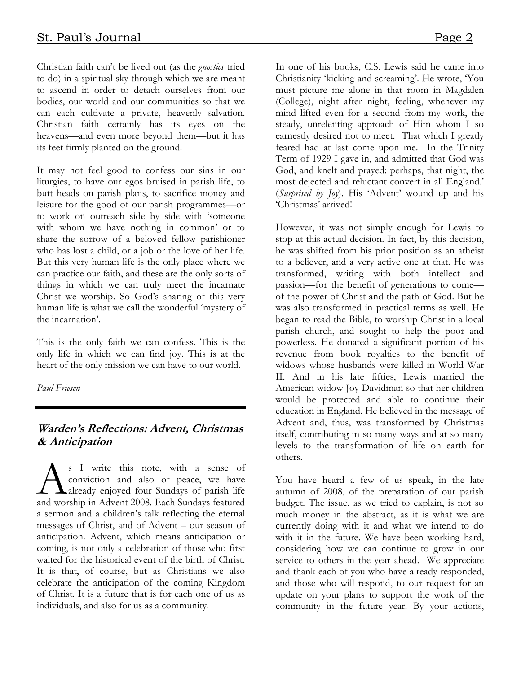Christian faith can't be lived out (as the gnostics tried to do) in a spiritual sky through which we are meant to ascend in order to detach ourselves from our bodies, our world and our communities so that we can each cultivate a private, heavenly salvation. Christian faith certainly has its eyes on the heavens—and even more beyond them—but it has its feet firmly planted on the ground.

It may not feel good to confess our sins in our liturgies, to have our egos bruised in parish life, to butt heads on parish plans, to sacrifice money and leisure for the good of our parish programmes—or to work on outreach side by side with 'someone with whom we have nothing in common' or to share the sorrow of a beloved fellow parishioner who has lost a child, or a job or the love of her life. But this very human life is the only place where we can practice our faith, and these are the only sorts of things in which we can truly meet the incarnate Christ we worship. So God's sharing of this very human life is what we call the wonderful 'mystery of the incarnation'.

This is the only faith we can confess. This is the only life in which we can find joy. This is at the heart of the only mission we can have to our world.

Paul Friesen

## Warden's Reflections: Advent, Christmas & Anticipation

s I write this note, with a sense of conviction and also of peace, we have **A**already enjoyed four Sundays of parish life Subsemination and also of peace, we have already enjoyed four Sundays of parish life and worship in Advent 2008. Each Sundays featured a sermon and a children's talk reflecting the eternal messages of Christ, and of Advent – our season of anticipation. Advent, which means anticipation or coming, is not only a celebration of those who first waited for the historical event of the birth of Christ. It is that, of course, but as Christians we also celebrate the anticipation of the coming Kingdom of Christ. It is a future that is for each one of us as individuals, and also for us as a community.

In one of his books, C.S. Lewis said he came into Christianity 'kicking and screaming'. He wrote, 'You must picture me alone in that room in Magdalen (College), night after night, feeling, whenever my mind lifted even for a second from my work, the steady, unrelenting approach of Him whom I so earnestly desired not to meet. That which I greatly feared had at last come upon me. In the Trinity Term of 1929 I gave in, and admitted that God was God, and knelt and prayed: perhaps, that night, the most dejected and reluctant convert in all England.' (Surprised by Joy). His 'Advent' wound up and his 'Christmas' arrived!

However, it was not simply enough for Lewis to stop at this actual decision. In fact, by this decision, he was shifted from his prior position as an atheist to a believer, and a very active one at that. He was transformed, writing with both intellect and passion—for the benefit of generations to come of the power of Christ and the path of God. But he was also transformed in practical terms as well. He began to read the Bible, to worship Christ in a local parish church, and sought to help the poor and powerless. He donated a significant portion of his revenue from book royalties to the benefit of widows whose husbands were killed in World War II. And in his late fifties, Lewis married the American widow Joy Davidman so that her children would be protected and able to continue their education in England. He believed in the message of Advent and, thus, was transformed by Christmas itself, contributing in so many ways and at so many levels to the transformation of life on earth for others.

You have heard a few of us speak, in the late autumn of 2008, of the preparation of our parish budget. The issue, as we tried to explain, is not so much money in the abstract, as it is what we are currently doing with it and what we intend to do with it in the future. We have been working hard, considering how we can continue to grow in our service to others in the year ahead. We appreciate and thank each of you who have already responded, and those who will respond, to our request for an update on your plans to support the work of the community in the future year. By your actions,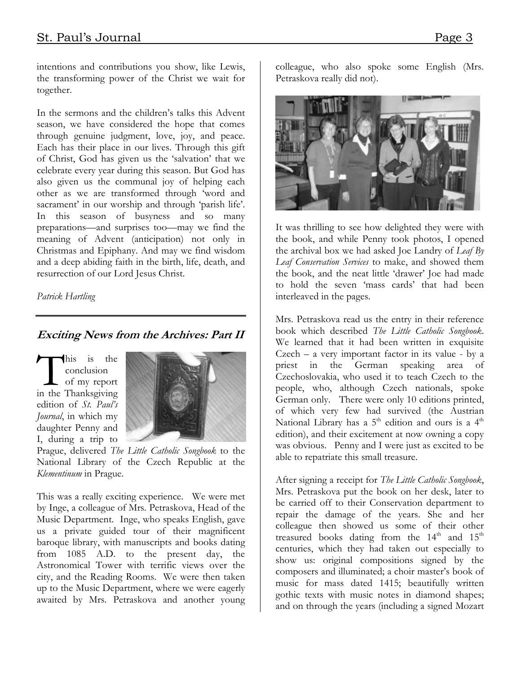intentions and contributions you show, like Lewis, the transforming power of the Christ we wait for together.

In the sermons and the children's talks this Advent season, we have considered the hope that comes through genuine judgment, love, joy, and peace. Each has their place in our lives. Through this gift of Christ, God has given us the 'salvation' that we celebrate every year during this season. But God has also given us the communal joy of helping each other as we are transformed through 'word and sacrament' in our worship and through 'parish life'. In this season of busyness and so many preparations—and surprises too—may we find the meaning of Advent (anticipation) not only in Christmas and Epiphany. And may we find wisdom and a deep abiding faith in the birth, life, death, and resurrection of our Lord Jesus Christ.

Patrick Hartling

# Exciting News from the Archives: Part II

his is the conclusion of my report his is the conclusion<br>
of my report<br>
in the Thanksgiving edition of St. Paul's Journal, in which my daughter Penny and I, during a trip to



Prague, delivered The Little Catholic Songbook to the National Library of the Czech Republic at the Klementinum in Prague.

This was a really exciting experience. We were met by Inge, a colleague of Mrs. Petraskova, Head of the Music Department. Inge, who speaks English, gave us a private guided tour of their magnificent baroque library, with manuscripts and books dating from 1085 A.D. to the present day, the Astronomical Tower with terrific views over the city, and the Reading Rooms. We were then taken up to the Music Department, where we were eagerly awaited by Mrs. Petraskova and another young colleague, who also spoke some English (Mrs. Petraskova really did not).



It was thrilling to see how delighted they were with the book, and while Penny took photos, I opened the archival box we had asked Joe Landry of Leaf By Leaf Conservation Services to make, and showed them the book, and the neat little 'drawer' Joe had made to hold the seven 'mass cards' that had been interleaved in the pages.

Mrs. Petraskova read us the entry in their reference book which described The Little Catholic Songbook. We learned that it had been written in exquisite  $Czech - a very important factor in its value - by a$ priest in the German speaking area of Czechoslovakia, who used it to teach Czech to the people, who, although Czech nationals, spoke German only. There were only 10 editions printed, of which very few had survived (the Austrian National Library has a  $5<sup>th</sup>$  edition and ours is a  $4<sup>th</sup>$ edition), and their excitement at now owning a copy was obvious. Penny and I were just as excited to be able to repatriate this small treasure.

After signing a receipt for The Little Catholic Songbook, Mrs. Petraskova put the book on her desk, later to be carried off to their Conservation department to repair the damage of the years. She and her colleague then showed us some of their other treasured books dating from the  $14<sup>th</sup>$  and  $15<sup>th</sup>$ centuries, which they had taken out especially to show us: original compositions signed by the composers and illuminated; a choir master's book of music for mass dated 1415; beautifully written gothic texts with music notes in diamond shapes; and on through the years (including a signed Mozart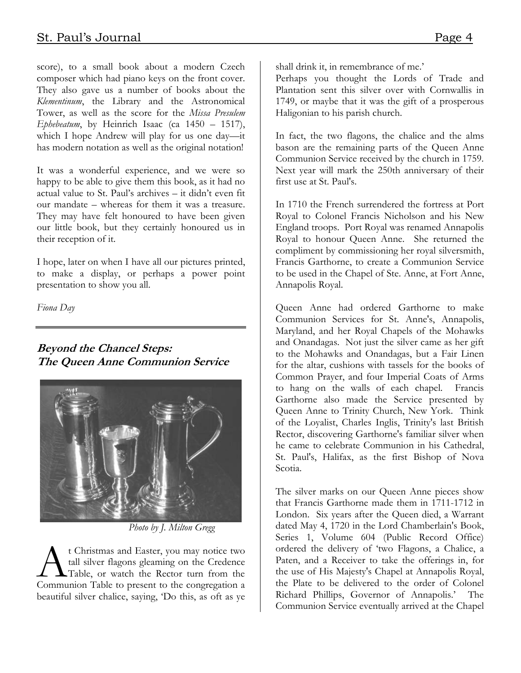score), to a small book about a modern Czech composer which had piano keys on the front cover. They also gave us a number of books about the Klementinum, the Library and the Astronomical Tower, as well as the score for the Missa Presulem Ephebeatum, by Heinrich Isaac (ca  $1450 - 1517$ ), which I hope Andrew will play for us one day—it has modern notation as well as the original notation!

It was a wonderful experience, and we were so happy to be able to give them this book, as it had no actual value to St. Paul's archives – it didn't even fit our mandate – whereas for them it was a treasure. They may have felt honoured to have been given our little book, but they certainly honoured us in their reception of it.

I hope, later on when I have all our pictures printed, to make a display, or perhaps a power point presentation to show you all.

Fiona Day

## Beyond the Chancel Steps: The Queen Anne Communion Service



Photo by J. Milton Gregg

t Christmas and Easter, you may notice two tall silver flagons gleaming on the Credence Table, or watch the Rector turn from the <sup>t</sup> Christmas and Easter, you may notice two<br>tall silver flagons gleaming on the Credence<br>Communion Table to present to the congregation a beautiful silver chalice, saying, 'Do this, as oft as ye

shall drink it, in remembrance of me.'

Perhaps you thought the Lords of Trade and Plantation sent this silver over with Cornwallis in 1749, or maybe that it was the gift of a prosperous Haligonian to his parish church.

In fact, the two flagons, the chalice and the alms bason are the remaining parts of the Queen Anne Communion Service received by the church in 1759. Next year will mark the 250th anniversary of their first use at St. Paul's.

In 1710 the French surrendered the fortress at Port Royal to Colonel Francis Nicholson and his New England troops. Port Royal was renamed Annapolis Royal to honour Queen Anne. She returned the compliment by commissioning her royal silversmith, Francis Garthorne, to create a Communion Service to be used in the Chapel of Ste. Anne, at Fort Anne, Annapolis Royal.

Queen Anne had ordered Garthorne to make Communion Services for St. Anne's, Annapolis, Maryland, and her Royal Chapels of the Mohawks and Onandagas. Not just the silver came as her gift to the Mohawks and Onandagas, but a Fair Linen for the altar, cushions with tassels for the books of Common Prayer, and four Imperial Coats of Arms to hang on the walls of each chapel. Francis Garthorne also made the Service presented by Queen Anne to Trinity Church, New York. Think of the Loyalist, Charles Inglis, Trinity's last British Rector, discovering Garthorne's familiar silver when he came to celebrate Communion in his Cathedral, St. Paul's, Halifax, as the first Bishop of Nova Scotia.

The silver marks on our Queen Anne pieces show that Francis Garthorne made them in 1711-1712 in London. Six years after the Queen died, a Warrant dated May 4, 1720 in the Lord Chamberlain's Book, Series 1, Volume 604 (Public Record Office) ordered the delivery of 'two Flagons, a Chalice, a Paten, and a Receiver to take the offerings in, for the use of His Majesty's Chapel at Annapolis Royal, the Plate to be delivered to the order of Colonel Richard Phillips, Governor of Annapolis.' The Communion Service eventually arrived at the Chapel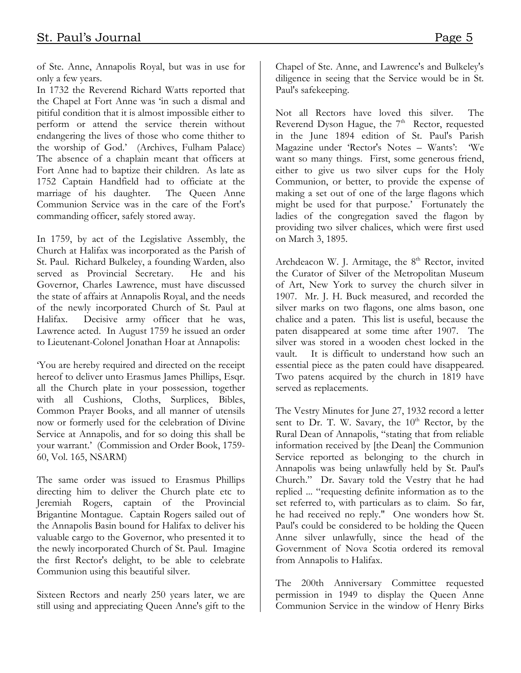of Ste. Anne, Annapolis Royal, but was in use for only a few years.

In 1732 the Reverend Richard Watts reported that the Chapel at Fort Anne was 'in such a dismal and pitiful condition that it is almost impossible either to perform or attend the service therein without endangering the lives of those who come thither to the worship of God.' (Archives, Fulham Palace) The absence of a chaplain meant that officers at Fort Anne had to baptize their children. As late as 1752 Captain Handfield had to officiate at the marriage of his daughter. The Queen Anne Communion Service was in the care of the Fort's commanding officer, safely stored away.

In 1759, by act of the Legislative Assembly, the Church at Halifax was incorporated as the Parish of St. Paul. Richard Bulkeley, a founding Warden, also served as Provincial Secretary. He and his Governor, Charles Lawrence, must have discussed the state of affairs at Annapolis Royal, and the needs of the newly incorporated Church of St. Paul at Halifax. Decisive army officer that he was, Lawrence acted. In August 1759 he issued an order to Lieutenant-Colonel Jonathan Hoar at Annapolis:

'You are hereby required and directed on the receipt hereof to deliver unto Erasmus James Phillips, Esqr. all the Church plate in your possession, together with all Cushions, Cloths, Surplices, Bibles, Common Prayer Books, and all manner of utensils now or formerly used for the celebration of Divine Service at Annapolis, and for so doing this shall be your warrant.' (Commission and Order Book, 1759- 60, Vol. 165, NSARM)

The same order was issued to Erasmus Phillips directing him to deliver the Church plate etc to Jeremiah Rogers, captain of the Provincial Brigantine Montague. Captain Rogers sailed out of the Annapolis Basin bound for Halifax to deliver his valuable cargo to the Governor, who presented it to the newly incorporated Church of St. Paul. Imagine the first Rector's delight, to be able to celebrate Communion using this beautiful silver.

Sixteen Rectors and nearly 250 years later, we are still using and appreciating Queen Anne's gift to the

Chapel of Ste. Anne, and Lawrence's and Bulkeley's diligence in seeing that the Service would be in St. Paul's safekeeping.

Not all Rectors have loved this silver. The Reverend Dyson Hague, the  $7<sup>th</sup>$  Rector, requested in the June 1894 edition of St. Paul's Parish Magazine under 'Rector's Notes – Wants': 'We want so many things. First, some generous friend, either to give us two silver cups for the Holy Communion, or better, to provide the expense of making a set out of one of the large flagons which might be used for that purpose.' Fortunately the ladies of the congregation saved the flagon by providing two silver chalices, which were first used on March 3, 1895.

Archdeacon W. J. Armitage, the 8<sup>th</sup> Rector, invited the Curator of Silver of the Metropolitan Museum of Art, New York to survey the church silver in 1907. Mr. J. H. Buck measured, and recorded the silver marks on two flagons, one alms bason, one chalice and a paten. This list is useful, because the paten disappeared at some time after 1907. The silver was stored in a wooden chest locked in the vault. It is difficult to understand how such an essential piece as the paten could have disappeared. Two patens acquired by the church in 1819 have served as replacements.

The Vestry Minutes for June 27, 1932 record a letter sent to Dr. T. W. Savary, the  $10^{th}$  Rector, by the Rural Dean of Annapolis, "stating that from reliable information received by [the Dean] the Communion Service reported as belonging to the church in Annapolis was being unlawfully held by St. Paul's Church." Dr. Savary told the Vestry that he had replied ... "requesting definite information as to the set referred to, with particulars as to claim. So far, he had received no reply." One wonders how St. Paul's could be considered to be holding the Queen Anne silver unlawfully, since the head of the Government of Nova Scotia ordered its removal from Annapolis to Halifax.

The 200th Anniversary Committee requested permission in 1949 to display the Queen Anne Communion Service in the window of Henry Birks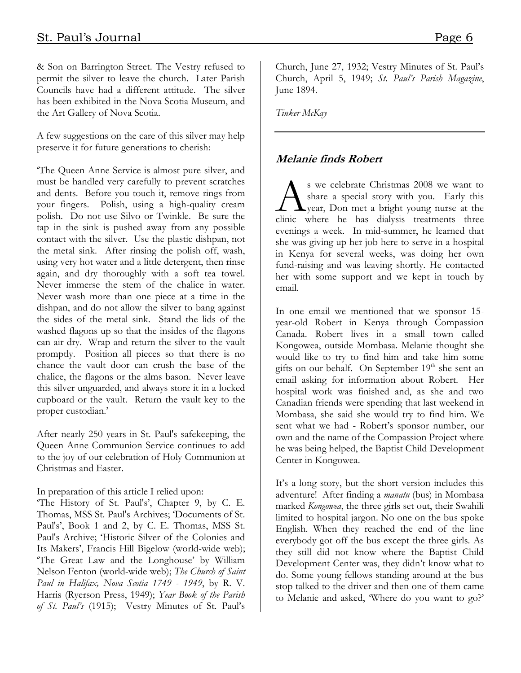& Son on Barrington Street. The Vestry refused to permit the silver to leave the church. Later Parish Councils have had a different attitude. The silver has been exhibited in the Nova Scotia Museum, and the Art Gallery of Nova Scotia.

A few suggestions on the care of this silver may help preserve it for future generations to cherish:

'The Queen Anne Service is almost pure silver, and must be handled very carefully to prevent scratches and dents. Before you touch it, remove rings from your fingers. Polish, using a high-quality cream polish. Do not use Silvo or Twinkle. Be sure the tap in the sink is pushed away from any possible contact with the silver. Use the plastic dishpan, not the metal sink. After rinsing the polish off, wash, using very hot water and a little detergent, then rinse again, and dry thoroughly with a soft tea towel. Never immerse the stem of the chalice in water. Never wash more than one piece at a time in the dishpan, and do not allow the silver to bang against the sides of the metal sink. Stand the lids of the washed flagons up so that the insides of the flagons can air dry. Wrap and return the silver to the vault promptly. Position all pieces so that there is no chance the vault door can crush the base of the chalice, the flagons or the alms bason. Never leave this silver unguarded, and always store it in a locked cupboard or the vault. Return the vault key to the proper custodian.'

After nearly 250 years in St. Paul's safekeeping, the Queen Anne Communion Service continues to add to the joy of our celebration of Holy Communion at Christmas and Easter.

In preparation of this article I relied upon:

'The History of St. Paul's', Chapter 9, by C. E. Thomas, MSS St. Paul's Archives; 'Documents of St. Paul's', Book 1 and 2, by C. E. Thomas, MSS St. Paul's Archive; 'Historic Silver of the Colonies and Its Makers', Francis Hill Bigelow (world-wide web); 'The Great Law and the Longhouse' by William Nelson Fenton (world-wide web); The Church of Saint Paul in Halifax, Nova Scotia 1749 - 1949, by R. V. Harris (Ryerson Press, 1949); Year Book of the Parish of St. Paul's (1915); Vestry Minutes of St. Paul's

Church, June 27, 1932; Vestry Minutes of St. Paul's Church, April 5, 1949; St. Paul's Parish Magazine, June 1894.

Tinker McKay

# Melanie finds Robert

s we celebrate Christmas 2008 we want to share a special story with you. Early this year, Don met a bright young nurse at the S we celebrate Christmas 2008 we want to share a special story with you. Early this year, Don met a bright young nurse at the clinic where he has dialysis treatments three evenings a week. In mid-summer, he learned that she was giving up her job here to serve in a hospital in Kenya for several weeks, was doing her own fund-raising and was leaving shortly. He contacted her with some support and we kept in touch by email.

In one email we mentioned that we sponsor 15 year-old Robert in Kenya through Compassion Canada. Robert lives in a small town called Kongowea, outside Mombasa. Melanie thought she would like to try to find him and take him some gifts on our behalf. On September 19<sup>th</sup> she sent an email asking for information about Robert. Her hospital work was finished and, as she and two Canadian friends were spending that last weekend in Mombasa, she said she would try to find him. We sent what we had - Robert's sponsor number, our own and the name of the Compassion Project where he was being helped, the Baptist Child Development Center in Kongowea.

It's a long story, but the short version includes this adventure! After finding a *manatu* (bus) in Mombasa marked Kongowea, the three girls set out, their Swahili limited to hospital jargon. No one on the bus spoke English. When they reached the end of the line everybody got off the bus except the three girls. As they still did not know where the Baptist Child Development Center was, they didn't know what to do. Some young fellows standing around at the bus stop talked to the driver and then one of them came to Melanie and asked, 'Where do you want to go?'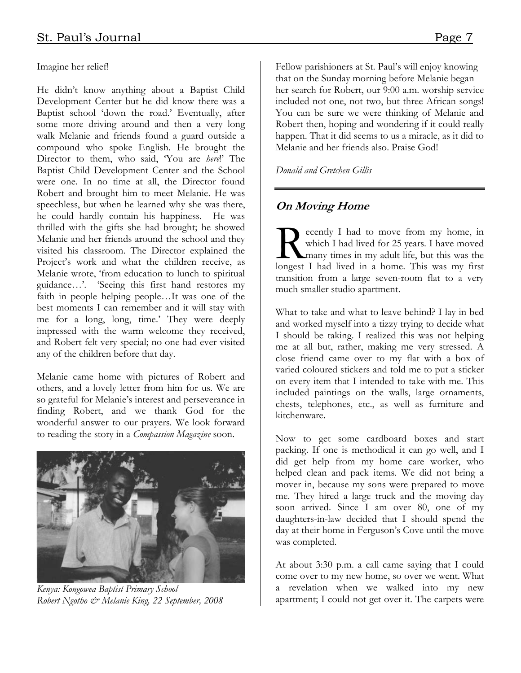Imagine her relief!

He didn't know anything about a Baptist Child Development Center but he did know there was a Baptist school 'down the road.' Eventually, after some more driving around and then a very long walk Melanie and friends found a guard outside a compound who spoke English. He brought the Director to them, who said, 'You are here!' The Baptist Child Development Center and the School were one. In no time at all, the Director found Robert and brought him to meet Melanie. He was speechless, but when he learned why she was there, he could hardly contain his happiness. He was thrilled with the gifts she had brought; he showed Melanie and her friends around the school and they visited his classroom. The Director explained the Project's work and what the children receive, as Melanie wrote, 'from education to lunch to spiritual guidance…'. 'Seeing this first hand restores my faith in people helping people…It was one of the best moments I can remember and it will stay with me for a long, long, time.' They were deeply impressed with the warm welcome they received, and Robert felt very special; no one had ever visited any of the children before that day.

Melanie came home with pictures of Robert and others, and a lovely letter from him for us. We are so grateful for Melanie's interest and perseverance in finding Robert, and we thank God for the wonderful answer to our prayers. We look forward to reading the story in a Compassion Magazine soon.



Kenya: Kongowea Baptist Primary School Robert Ngotho & Melanie King, 22 September, 2008

Fellow parishioners at St. Paul's will enjoy knowing that on the Sunday morning before Melanie began her search for Robert, our 9:00 a.m. worship service included not one, not two, but three African songs! You can be sure we were thinking of Melanie and Robert then, hoping and wondering if it could really happen. That it did seems to us a miracle, as it did to Melanie and her friends also. Praise God!

Donald and Gretchen Gillis

# On Moving Home

ecently I had to move from my home, in which I had lived for 25 years. I have moved many times in my adult life, but this was the Recently I had to move from my home, in which I had lived for 25 years. I have moved many times in my adult life, but this was the longest I had lived in a home. This was my first transition from a large seven-room flat to a very much smaller studio apartment.

What to take and what to leave behind? I lay in bed and worked myself into a tizzy trying to decide what I should be taking. I realized this was not helping me at all but, rather, making me very stressed. A close friend came over to my flat with a box of varied coloured stickers and told me to put a sticker on every item that I intended to take with me. This included paintings on the walls, large ornaments, chests, telephones, etc., as well as furniture and kitchenware.

Now to get some cardboard boxes and start packing. If one is methodical it can go well, and I did get help from my home care worker, who helped clean and pack items. We did not bring a mover in, because my sons were prepared to move me. They hired a large truck and the moving day soon arrived. Since I am over 80, one of my daughters-in-law decided that I should spend the day at their home in Ferguson's Cove until the move was completed.

At about 3:30 p.m. a call came saying that I could come over to my new home, so over we went. What a revelation when we walked into my new apartment; I could not get over it. The carpets were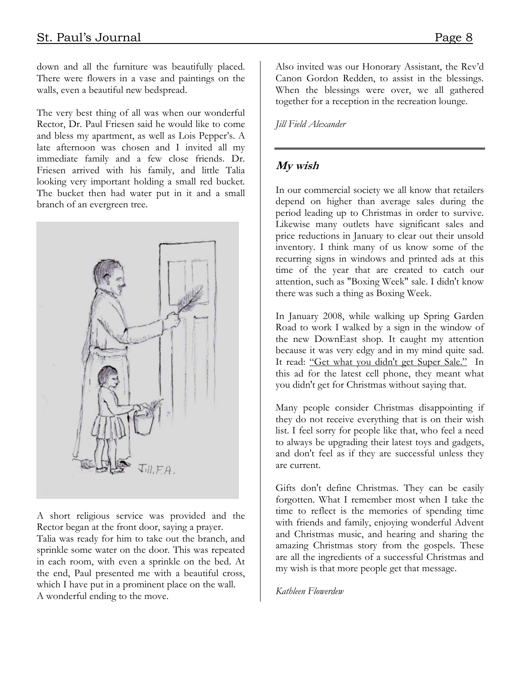down and all the furniture was beautifully placed. There were flowers in a vase and paintings on the walls, even a beautiful new bedspread.

The very best thing of all was when our wonderful Rector, Dr. Paul Friesen said he would like to come and bless my apartment, as well as Lois Pepper's. A late afternoon was chosen and I invited all my immediate family and a few close friends. Dr. Friesen arrived with his family, and little Talia looking very important holding a small red bucket. The bucket then had water put in it and a small branch of an evergreen tree.



A short religious service was provided and the Rector began at the front door, saying a prayer.

Talia was ready for him to take out the branch, and sprinkle some water on the door. This was repeated in each room, with even a sprinkle on the bed. At the end, Paul presented me with a beautiful cross, which I have put in a prominent place on the wall. A wonderful ending to the move.

Also invited was our Honorary Assistant, the Rev'd Canon Gordon Redden, to assist in the blessings. When the blessings were over, we all gathered together for a reception in the recreation lounge.

Jill Field Alexander

## My wish

In our commercial society we all know that retailers depend on higher than average sales during the period leading up to Christmas in order to survive. Likewise many outlets have significant sales and price reductions in January to clear out their unsold inventory. I think many of us know some of the recurring signs in windows and printed ads at this time of the year that are created to catch our attention, such as "Boxing Week" sale. I didn't know there was such a thing as Boxing Week.

In January 2008, while walking up Spring Garden Road to work I walked by a sign in the window of the new DownEast shop. It caught my attention because it was very edgy and in my mind quite sad. It read: "Get what you didn't get Super Sale." In this ad for the latest cell phone, they meant what you didn't get for Christmas without saying that.

Many people consider Christmas disappointing if they do not receive everything that is on their wish list. I feel sorry for people like that, who feel a need to always be upgrading their latest toys and gadgets, and don't feel as if they are successful unless they are current.

Gifts don't define Christmas. They can be easily forgotten. What I remember most when I take the time to reflect is the memories of spending time with friends and family, enjoying wonderful Advent and Christmas music, and hearing and sharing the amazing Christmas story from the gospels. These are all the ingredients of a successful Christmas and my wish is that more people get that message.

#### Kathleen Flowerdew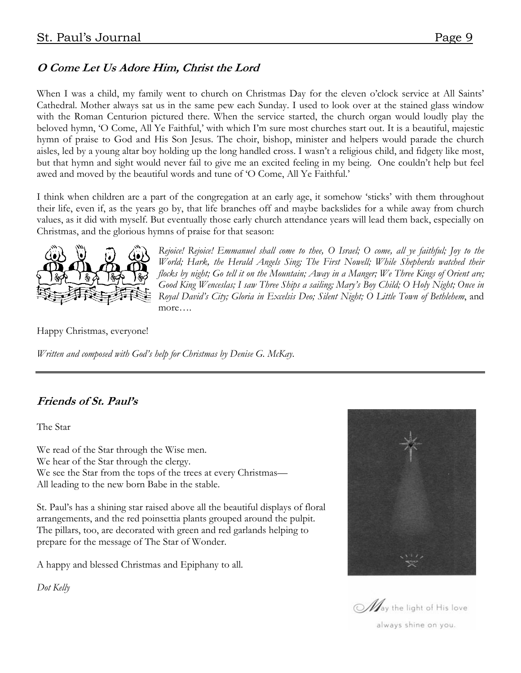# O Come Let Us Adore Him, Christ the Lord

When I was a child, my family went to church on Christmas Day for the eleven o'clock service at All Saints' Cathedral. Mother always sat us in the same pew each Sunday. I used to look over at the stained glass window with the Roman Centurion pictured there. When the service started, the church organ would loudly play the beloved hymn, 'O Come, All Ye Faithful,' with which I'm sure most churches start out. It is a beautiful, majestic hymn of praise to God and His Son Jesus. The choir, bishop, minister and helpers would parade the church aisles, led by a young altar boy holding up the long handled cross. I wasn't a religious child, and fidgety like most, but that hymn and sight would never fail to give me an excited feeling in my being. One couldn't help but feel awed and moved by the beautiful words and tune of 'O Come, All Ye Faithful.'

I think when children are a part of the congregation at an early age, it somehow 'sticks' with them throughout their life, even if, as the years go by, that life branches off and maybe backslides for a while away from church values, as it did with myself. But eventually those early church attendance years will lead them back, especially on Christmas, and the glorious hymns of praise for that season:



Rejoice! Rejoice! Emmanuel shall come to thee, O Israel; O come, all ye faithful; Joy to the World; Hark, the Herald Angels Sing; The First Nowell; While Shepherds watched their flocks by night; Go tell it on the Mountain; Away in a Manger; We Three Kings of Orient are; Good King Wenceslas; I saw Three Ships a sailing; Mary's Boy Child; O Holy Night; Once in Royal David's City; Gloria in Excelsis Deo; Silent Night; O Little Town of Bethlehem, and more….

Happy Christmas, everyone!

Written and composed with God's help for Christmas by Denise G. McKay.

# Friends of St. Paul's

The Star

We read of the Star through the Wise men. We hear of the Star through the clergy. We see the Star from the tops of the trees at every Christmas— All leading to the new born Babe in the stable.

St. Paul's has a shining star raised above all the beautiful displays of floral arrangements, and the red poinsettia plants grouped around the pulpit. The pillars, too, are decorated with green and red garlands helping to prepare for the message of The Star of Wonder.

A happy and blessed Christmas and Epiphany to all.

Dot Kelly



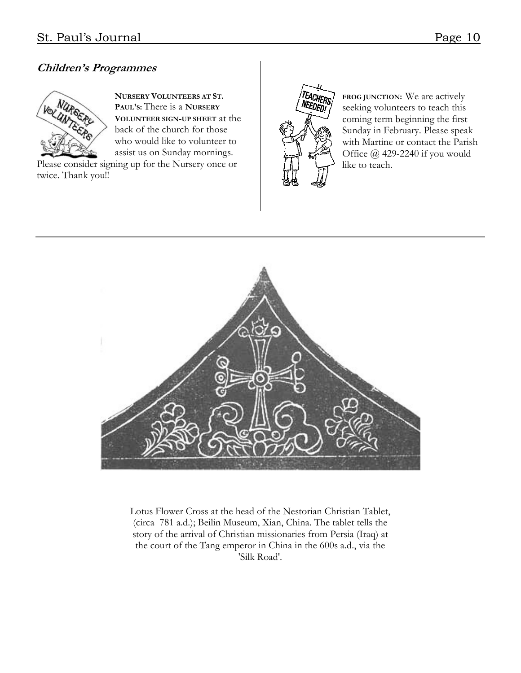# Children's Programmes



NURSERY VOLUNTEERS AT ST. PAUL'S: There is a NURSERY VOLUNTEER SIGN-UP SHEET at the back of the church for those who would like to volunteer to assist us on Sunday mornings.

Please consider signing up for the Nursery once or twice. Thank you!!



FROG JUNCTION: We are actively seeking volunteers to teach this coming term beginning the first Sunday in February. Please speak with Martine or contact the Parish Office @ 429-2240 if you would like to teach.



Lotus Flower Cross at the head of the Nestorian Christian Tablet, (circa 781 a.d.); Beilin Museum, Xian, China. The tablet tells the story of the arrival of Christian missionaries from Persia (Iraq) at the court of the Tang emperor in China in the 600s a.d., via the 'Silk Road'.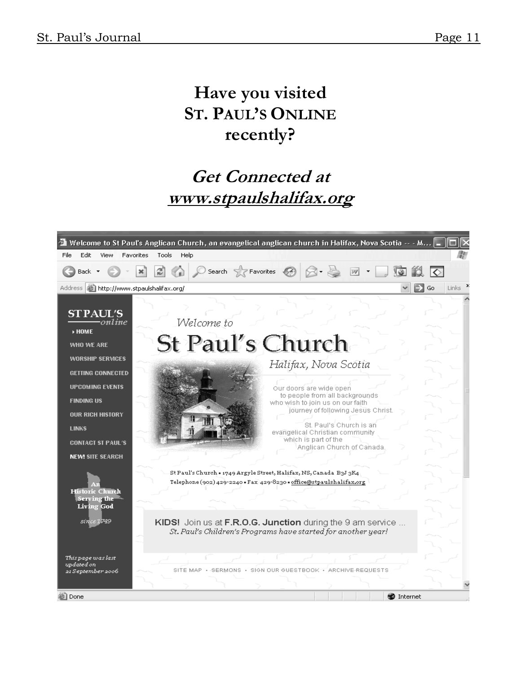# Have you visited ST. PAUL'S ONLINE recently?

# Get Connected at www.stpaulshalifax.org